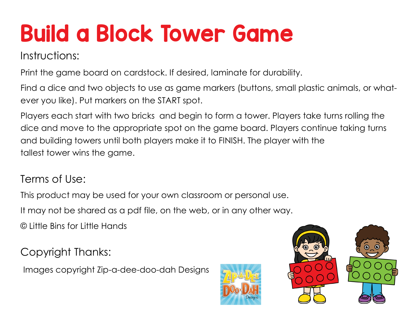## Build a Block Tower Game

Instructions:

Print the game board on cardstock. If desired, laminate for durability.

Find a dice and two objects to use as game markers (buttons, small plastic animals, or whatever you like). Put markers on the START spot.

Players each start with two bricks and begin to form a tower. Players take turns rolling the dice and move to the appropriate spot on the game board. Players continue taking turns and building towers until both players make it to FINISH. The player with the tallest tower wins the game.

## Terms of Use:

This product may be used for your own classroom or personal use.

It may not be shared as a pdf file, on the web, or in any other way.

© Little Bins for Little Hands

Copyright Thanks:

Images copyright Zip-a-dee-doo-dah Designs